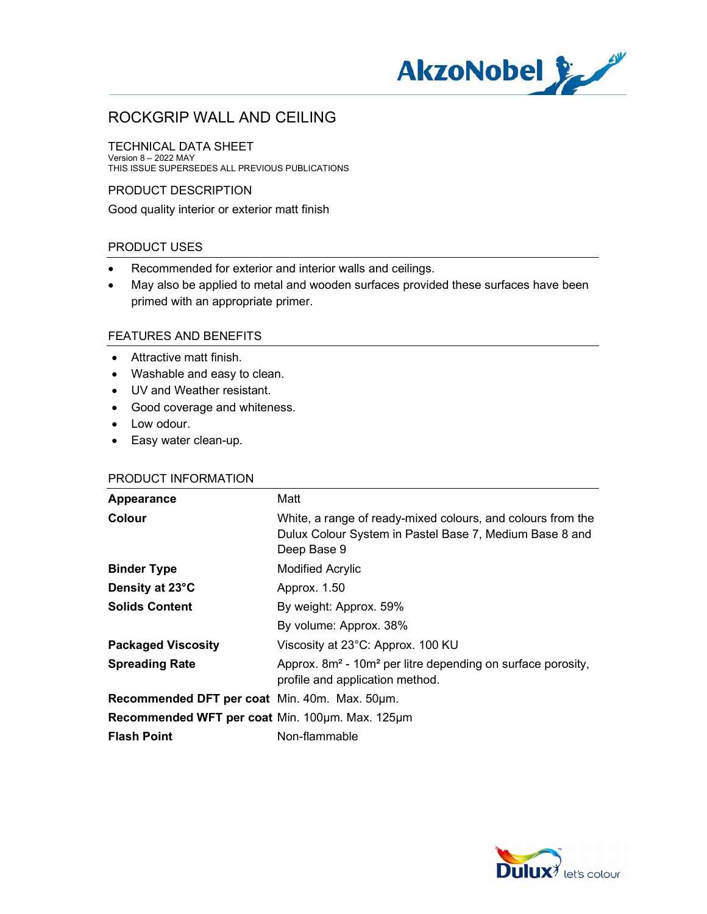

#### TECHNICAL DATA SHEET

Version 8 – 2022 MAY THIS ISSUE SUPERSEDES ALL PREVIOUS PUBLICATIONS

#### PRODUCT DESCRIPTION

Good quality interior or exterior matt finish

### PRODUCT USES

- Recommended for exterior and interior walls and ceilings.
- May also be applied to metal and wooden surfaces provided these surfaces have been primed with an appropriate primer.

### FEATURES AND BENEFITS

- Attractive matt finish.
- Washable and easy to clean.
- UV and Weather resistant.
- Good coverage and whiteness.
- Low odour.
- Easy water clean-up.

#### PRODUCT INFORMATION

| Appearance                                      | Matt                                                                                                                                  |
|-------------------------------------------------|---------------------------------------------------------------------------------------------------------------------------------------|
| Colour                                          | White, a range of ready-mixed colours, and colours from the<br>Dulux Colour System in Pastel Base 7, Medium Base 8 and<br>Deep Base 9 |
| <b>Binder Type</b>                              | <b>Modified Acrylic</b>                                                                                                               |
| Density at 23°C                                 | Approx. 1.50                                                                                                                          |
| <b>Solids Content</b>                           | By weight: Approx. 59%                                                                                                                |
|                                                 | By volume: Approx. 38%                                                                                                                |
| <b>Packaged Viscosity</b>                       | Viscosity at 23°C: Approx. 100 KU                                                                                                     |
| <b>Spreading Rate</b>                           | Approx. 8m <sup>2</sup> - 10m <sup>2</sup> per litre depending on surface porosity,<br>profile and application method.                |
| Recommended DFT per coat Min. 40m. Max. 50um.   |                                                                                                                                       |
| Recommended WFT per coat Min. 100um. Max. 125um |                                                                                                                                       |
| <b>Flash Point</b>                              | Non-flammable                                                                                                                         |

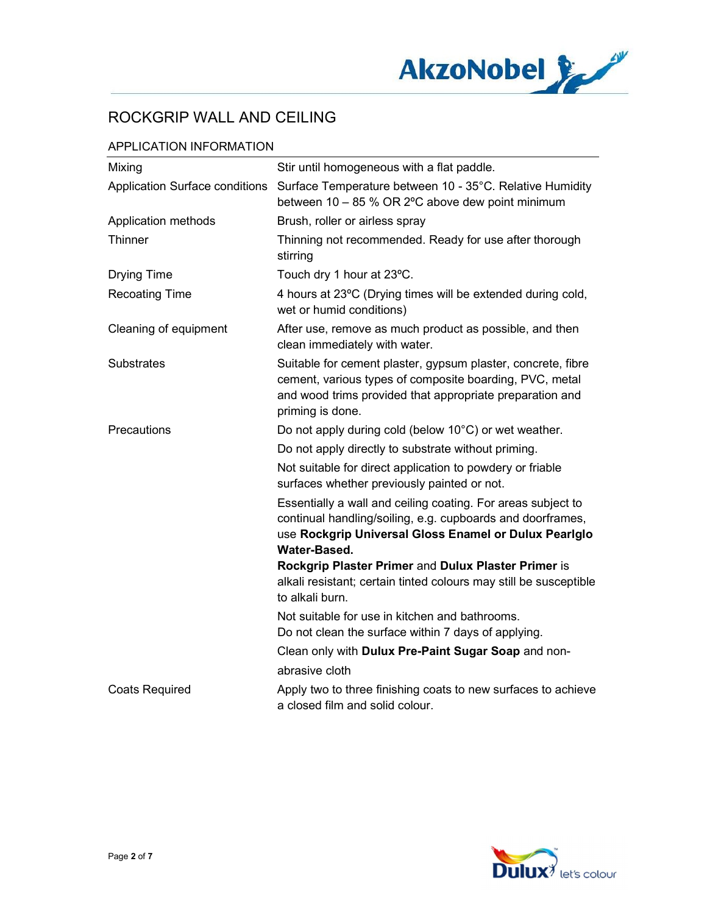

### APPLICATION INFORMATION

| Mixing                         | Stir until homogeneous with a flat paddle.                                                                                                                                                              |
|--------------------------------|---------------------------------------------------------------------------------------------------------------------------------------------------------------------------------------------------------|
| Application Surface conditions | Surface Temperature between 10 - 35°C. Relative Humidity<br>between 10 - 85 % OR 2°C above dew point minimum                                                                                            |
| Application methods            | Brush, roller or airless spray                                                                                                                                                                          |
| Thinner                        | Thinning not recommended. Ready for use after thorough<br>stirring                                                                                                                                      |
| <b>Drying Time</b>             | Touch dry 1 hour at 23°C.                                                                                                                                                                               |
| <b>Recoating Time</b>          | 4 hours at 23°C (Drying times will be extended during cold,<br>wet or humid conditions)                                                                                                                 |
| Cleaning of equipment          | After use, remove as much product as possible, and then<br>clean immediately with water.                                                                                                                |
| <b>Substrates</b>              | Suitable for cement plaster, gypsum plaster, concrete, fibre<br>cement, various types of composite boarding, PVC, metal<br>and wood trims provided that appropriate preparation and<br>priming is done. |
| Precautions                    | Do not apply during cold (below 10°C) or wet weather.                                                                                                                                                   |
|                                | Do not apply directly to substrate without priming.                                                                                                                                                     |
|                                | Not suitable for direct application to powdery or friable<br>surfaces whether previously painted or not.                                                                                                |
|                                | Essentially a wall and ceiling coating. For areas subject to<br>continual handling/soiling, e.g. cupboards and doorframes,<br>use Rockgrip Universal Gloss Enamel or Dulux Pearlglo<br>Water-Based.     |
|                                | Rockgrip Plaster Primer and Dulux Plaster Primer is<br>alkali resistant; certain tinted colours may still be susceptible<br>to alkali burn.                                                             |
|                                | Not suitable for use in kitchen and bathrooms.<br>Do not clean the surface within 7 days of applying.                                                                                                   |
|                                | Clean only with Dulux Pre-Paint Sugar Soap and non-                                                                                                                                                     |
|                                | abrasive cloth                                                                                                                                                                                          |
| <b>Coats Required</b>          | Apply two to three finishing coats to new surfaces to achieve<br>a closed film and solid colour.                                                                                                        |

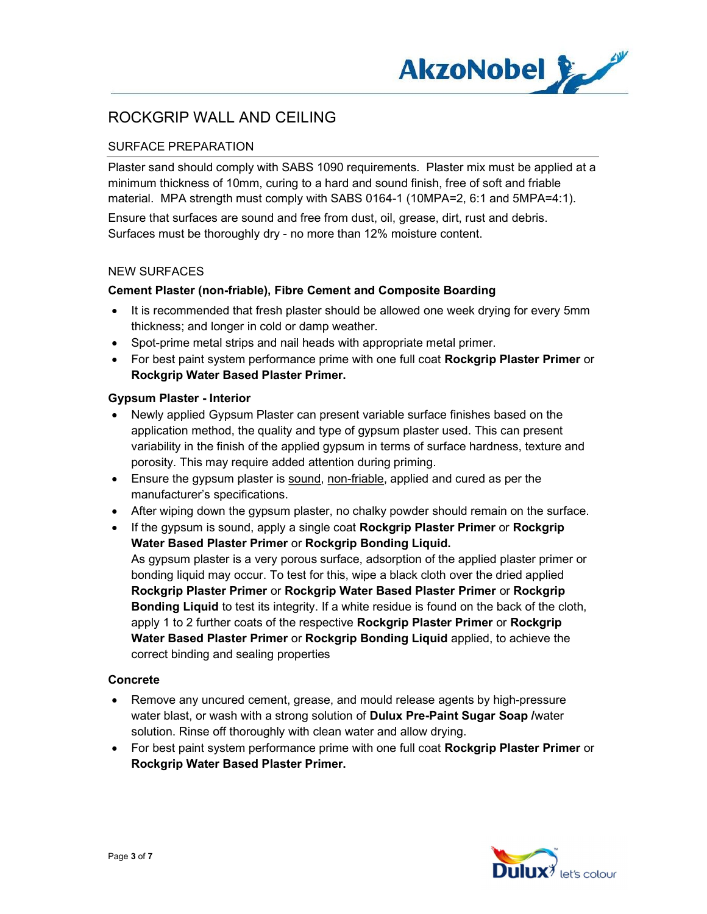

## SURFACE PREPARATION

Plaster sand should comply with SABS 1090 requirements. Plaster mix must be applied at a minimum thickness of 10mm, curing to a hard and sound finish, free of soft and friable material. MPA strength must comply with SABS 0164-1 (10MPA=2, 6:1 and 5MPA=4:1).

Ensure that surfaces are sound and free from dust, oil, grease, dirt, rust and debris. Surfaces must be thoroughly dry - no more than 12% moisture content.

#### NEW SURFACES

#### Cement Plaster (non-friable), Fibre Cement and Composite Boarding

- It is recommended that fresh plaster should be allowed one week drying for every 5mm thickness; and longer in cold or damp weather.
- Spot-prime metal strips and nail heads with appropriate metal primer.
- For best paint system performance prime with one full coat Rockgrip Plaster Primer or Rockgrip Water Based Plaster Primer.

#### Gypsum Plaster - Interior

- Newly applied Gypsum Plaster can present variable surface finishes based on the application method, the quality and type of gypsum plaster used. This can present variability in the finish of the applied gypsum in terms of surface hardness, texture and porosity. This may require added attention during priming.
- Ensure the gypsum plaster is sound, non-friable, applied and cured as per the manufacturer's specifications.
- After wiping down the gypsum plaster, no chalky powder should remain on the surface.

 If the gypsum is sound, apply a single coat Rockgrip Plaster Primer or Rockgrip Water Based Plaster Primer or Rockgrip Bonding Liquid. As gypsum plaster is a very porous surface, adsorption of the applied plaster primer or bonding liquid may occur. To test for this, wipe a black cloth over the dried applied Rockgrip Plaster Primer or Rockgrip Water Based Plaster Primer or Rockgrip Bonding Liquid to test its integrity. If a white residue is found on the back of the cloth, apply 1 to 2 further coats of the respective Rockgrip Plaster Primer or Rockgrip Water Based Plaster Primer or Rockgrip Bonding Liquid applied, to achieve the correct binding and sealing properties

#### Concrete

- Remove any uncured cement, grease, and mould release agents by high-pressure water blast, or wash with a strong solution of **Dulux Pre-Paint Sugar Soap** /water solution. Rinse off thoroughly with clean water and allow drying.
- For best paint system performance prime with one full coat Rockgrip Plaster Primer or Rockgrip Water Based Plaster Primer.

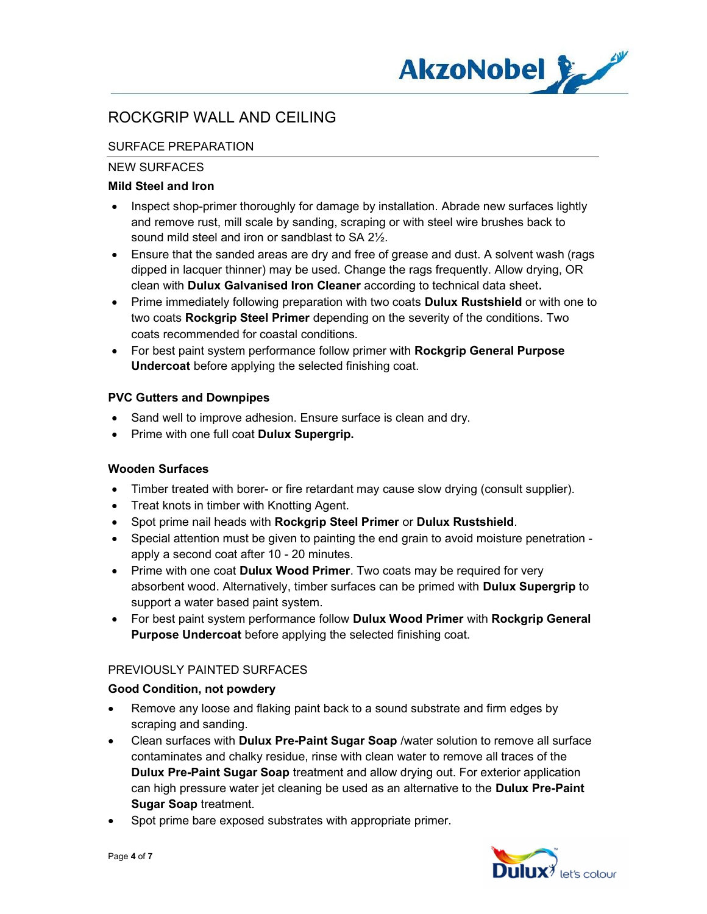

## SURFACE PREPARATION

### NEW SURFACES

## Mild Steel and Iron

- Inspect shop-primer thoroughly for damage by installation. Abrade new surfaces lightly and remove rust, mill scale by sanding, scraping or with steel wire brushes back to sound mild steel and iron or sandblast to SA 2½.
- Ensure that the sanded areas are dry and free of grease and dust. A solvent wash (rags dipped in lacquer thinner) may be used. Change the rags frequently. Allow drying, OR clean with Dulux Galvanised Iron Cleaner according to technical data sheet.
- Prime immediately following preparation with two coats **Dulux Rustshield** or with one to two coats Rockgrip Steel Primer depending on the severity of the conditions. Two coats recommended for coastal conditions.
- For best paint system performance follow primer with Rockgrip General Purpose Undercoat before applying the selected finishing coat.

### PVC Gutters and Downpipes

- Sand well to improve adhesion. Ensure surface is clean and dry.
- Prime with one full coat Dulux Supergrip.

## Wooden Surfaces

- Timber treated with borer- or fire retardant may cause slow drying (consult supplier).
- Treat knots in timber with Knotting Agent.
- Spot prime nail heads with Rockgrip Steel Primer or Dulux Rustshield.
- Special attention must be given to painting the end grain to avoid moisture penetration apply a second coat after 10 - 20 minutes.
- Prime with one coat Dulux Wood Primer. Two coats may be required for very absorbent wood. Alternatively, timber surfaces can be primed with Dulux Supergrip to support a water based paint system.
- For best paint system performance follow Dulux Wood Primer with Rockgrip General Purpose Undercoat before applying the selected finishing coat.

## PREVIOUSLY PAINTED SURFACES

#### Good Condition, not powdery

- Remove any loose and flaking paint back to a sound substrate and firm edges by scraping and sanding.
- Clean surfaces with Dulux Pre-Paint Sugar Soap /water solution to remove all surface contaminates and chalky residue, rinse with clean water to remove all traces of the Dulux Pre-Paint Sugar Soap treatment and allow drying out. For exterior application can high pressure water jet cleaning be used as an alternative to the Dulux Pre-Paint Sugar Soap treatment.
- Spot prime bare exposed substrates with appropriate primer.

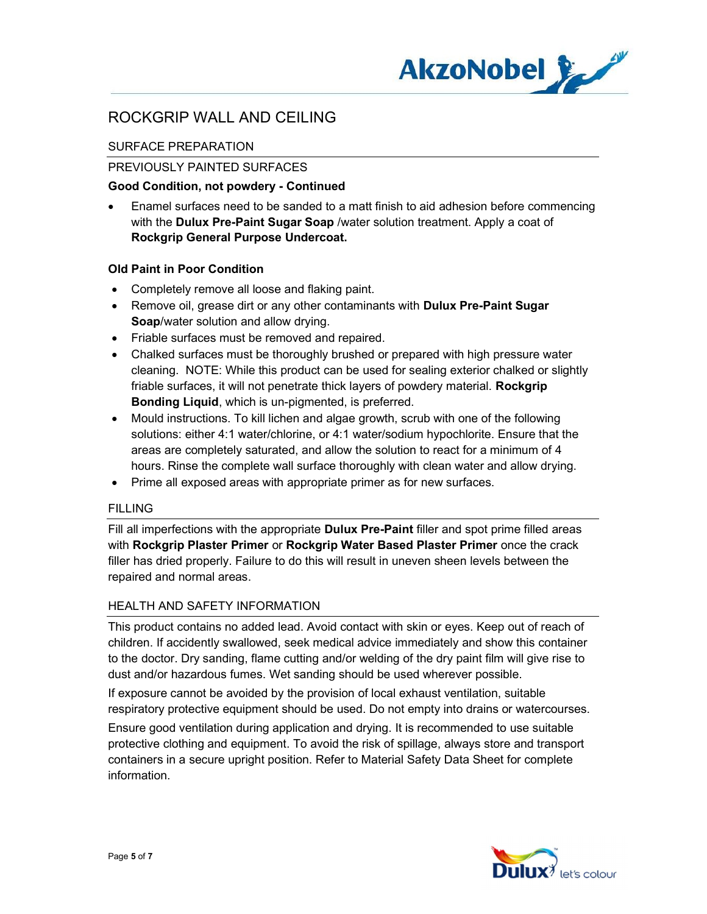

## SURFACE PREPARATION

### PREVIOUSLY PAINTED SURFACES

#### Good Condition, not powdery - Continued

 Enamel surfaces need to be sanded to a matt finish to aid adhesion before commencing with the Dulux Pre-Paint Sugar Soap /water solution treatment. Apply a coat of Rockgrip General Purpose Undercoat.

### Old Paint in Poor Condition

- Completely remove all loose and flaking paint.
- Remove oil, grease dirt or any other contaminants with **Dulux Pre-Paint Sugar** Soap/water solution and allow drying.
- Friable surfaces must be removed and repaired.
- Chalked surfaces must be thoroughly brushed or prepared with high pressure water cleaning. NOTE: While this product can be used for sealing exterior chalked or slightly friable surfaces, it will not penetrate thick layers of powdery material. Rockgrip Bonding Liquid, which is un-pigmented, is preferred.
- Mould instructions. To kill lichen and algae growth, scrub with one of the following solutions: either 4:1 water/chlorine, or 4:1 water/sodium hypochlorite. Ensure that the areas are completely saturated, and allow the solution to react for a minimum of 4 hours. Rinse the complete wall surface thoroughly with clean water and allow drying.
- Prime all exposed areas with appropriate primer as for new surfaces.

#### FILLING

Fill all imperfections with the appropriate **Dulux Pre-Paint** filler and spot prime filled areas with Rockgrip Plaster Primer or Rockgrip Water Based Plaster Primer once the crack filler has dried properly. Failure to do this will result in uneven sheen levels between the repaired and normal areas.

## HEALTH AND SAFETY INFORMATION

This product contains no added lead. Avoid contact with skin or eyes. Keep out of reach of children. If accidently swallowed, seek medical advice immediately and show this container to the doctor. Dry sanding, flame cutting and/or welding of the dry paint film will give rise to dust and/or hazardous fumes. Wet sanding should be used wherever possible.

If exposure cannot be avoided by the provision of local exhaust ventilation, suitable respiratory protective equipment should be used. Do not empty into drains or watercourses.

Ensure good ventilation during application and drying. It is recommended to use suitable protective clothing and equipment. To avoid the risk of spillage, always store and transport containers in a secure upright position. Refer to Material Safety Data Sheet for complete information.

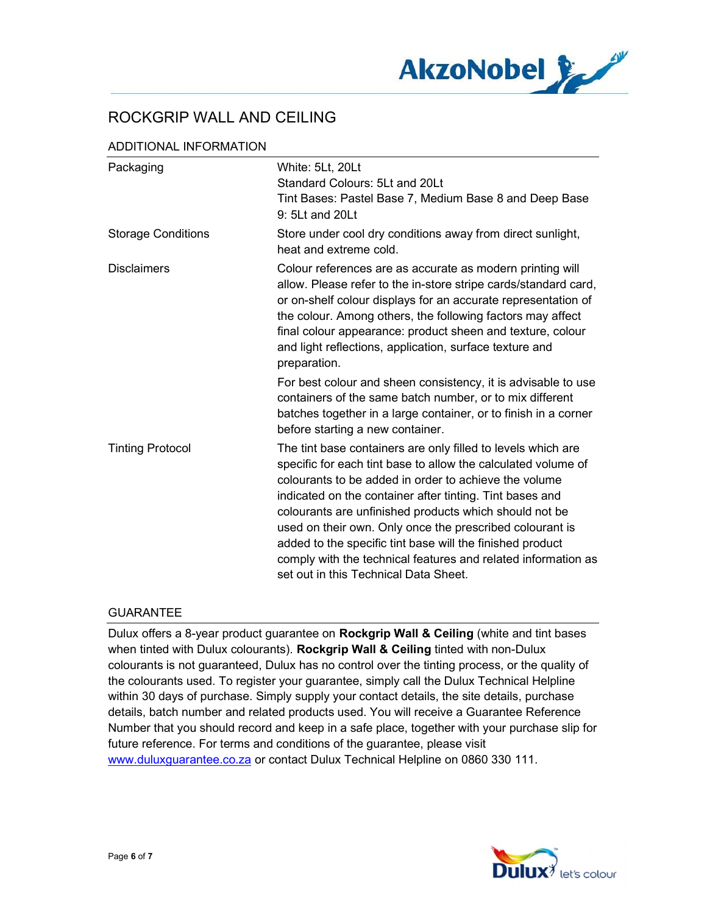

### ADDITIONAL INFORMATION

| Packaging                 | White: 5Lt, 20Lt<br>Standard Colours: 5Lt and 20Lt                                                                                                                                                                                                                                                                                                                                                                                                                                                                                              |
|---------------------------|-------------------------------------------------------------------------------------------------------------------------------------------------------------------------------------------------------------------------------------------------------------------------------------------------------------------------------------------------------------------------------------------------------------------------------------------------------------------------------------------------------------------------------------------------|
|                           | Tint Bases: Pastel Base 7, Medium Base 8 and Deep Base<br>9: 5Lt and 20Lt                                                                                                                                                                                                                                                                                                                                                                                                                                                                       |
| <b>Storage Conditions</b> | Store under cool dry conditions away from direct sunlight,<br>heat and extreme cold.                                                                                                                                                                                                                                                                                                                                                                                                                                                            |
| <b>Disclaimers</b>        | Colour references are as accurate as modern printing will<br>allow. Please refer to the in-store stripe cards/standard card,<br>or on-shelf colour displays for an accurate representation of<br>the colour. Among others, the following factors may affect<br>final colour appearance: product sheen and texture, colour<br>and light reflections, application, surface texture and<br>preparation.                                                                                                                                            |
|                           | For best colour and sheen consistency, it is advisable to use<br>containers of the same batch number, or to mix different<br>batches together in a large container, or to finish in a corner<br>before starting a new container.                                                                                                                                                                                                                                                                                                                |
| <b>Tinting Protocol</b>   | The tint base containers are only filled to levels which are<br>specific for each tint base to allow the calculated volume of<br>colourants to be added in order to achieve the volume<br>indicated on the container after tinting. Tint bases and<br>colourants are unfinished products which should not be<br>used on their own. Only once the prescribed colourant is<br>added to the specific tint base will the finished product<br>comply with the technical features and related information as<br>set out in this Technical Data Sheet. |

#### GUARANTEE

Dulux offers a 8-year product guarantee on Rockgrip Wall & Ceiling (white and tint bases when tinted with Dulux colourants). Rockgrip Wall & Ceiling tinted with non-Dulux colourants is not guaranteed, Dulux has no control over the tinting process, or the quality of the colourants used. To register your guarantee, simply call the Dulux Technical Helpline within 30 days of purchase. Simply supply your contact details, the site details, purchase details, batch number and related products used. You will receive a Guarantee Reference Number that you should record and keep in a safe place, together with your purchase slip for future reference. For terms and conditions of the guarantee, please visit www.duluxguarantee.co.za or contact Dulux Technical Helpline on 0860 330 111.